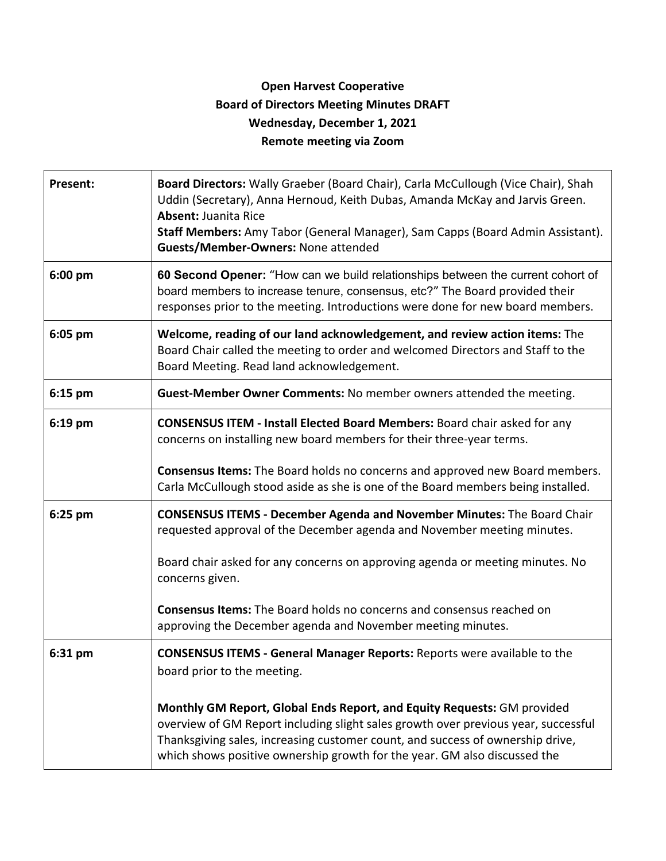## **Open Harvest Cooperative Board of Directors Meeting Minutes DRAFT Wednesday, December 1, 2021 Remote meeting via Zoom**

| <b>Present:</b> | Board Directors: Wally Graeber (Board Chair), Carla McCullough (Vice Chair), Shah<br>Uddin (Secretary), Anna Hernoud, Keith Dubas, Amanda McKay and Jarvis Green.<br><b>Absent: Juanita Rice</b><br>Staff Members: Amy Tabor (General Manager), Sam Capps (Board Admin Assistant).<br>Guests/Member-Owners: None attended    |
|-----------------|------------------------------------------------------------------------------------------------------------------------------------------------------------------------------------------------------------------------------------------------------------------------------------------------------------------------------|
| 6:00 pm         | 60 Second Opener: "How can we build relationships between the current cohort of<br>board members to increase tenure, consensus, etc?" The Board provided their<br>responses prior to the meeting. Introductions were done for new board members.                                                                             |
| 6:05 pm         | Welcome, reading of our land acknowledgement, and review action items: The<br>Board Chair called the meeting to order and welcomed Directors and Staff to the<br>Board Meeting. Read land acknowledgement.                                                                                                                   |
| $6:15$ pm       | Guest-Member Owner Comments: No member owners attended the meeting.                                                                                                                                                                                                                                                          |
| $6:19$ pm       | <b>CONSENSUS ITEM - Install Elected Board Members: Board chair asked for any</b><br>concerns on installing new board members for their three-year terms.                                                                                                                                                                     |
|                 | Consensus Items: The Board holds no concerns and approved new Board members.<br>Carla McCullough stood aside as she is one of the Board members being installed.                                                                                                                                                             |
| 6:25 pm         | <b>CONSENSUS ITEMS - December Agenda and November Minutes: The Board Chair</b><br>requested approval of the December agenda and November meeting minutes.                                                                                                                                                                    |
|                 | Board chair asked for any concerns on approving agenda or meeting minutes. No<br>concerns given.                                                                                                                                                                                                                             |
|                 | <b>Consensus Items:</b> The Board holds no concerns and consensus reached on<br>approving the December agenda and November meeting minutes.                                                                                                                                                                                  |
| 6:31 pm         | <b>CONSENSUS ITEMS - General Manager Reports: Reports were available to the</b><br>board prior to the meeting.                                                                                                                                                                                                               |
|                 | Monthly GM Report, Global Ends Report, and Equity Requests: GM provided<br>overview of GM Report including slight sales growth over previous year, successful<br>Thanksgiving sales, increasing customer count, and success of ownership drive,<br>which shows positive ownership growth for the year. GM also discussed the |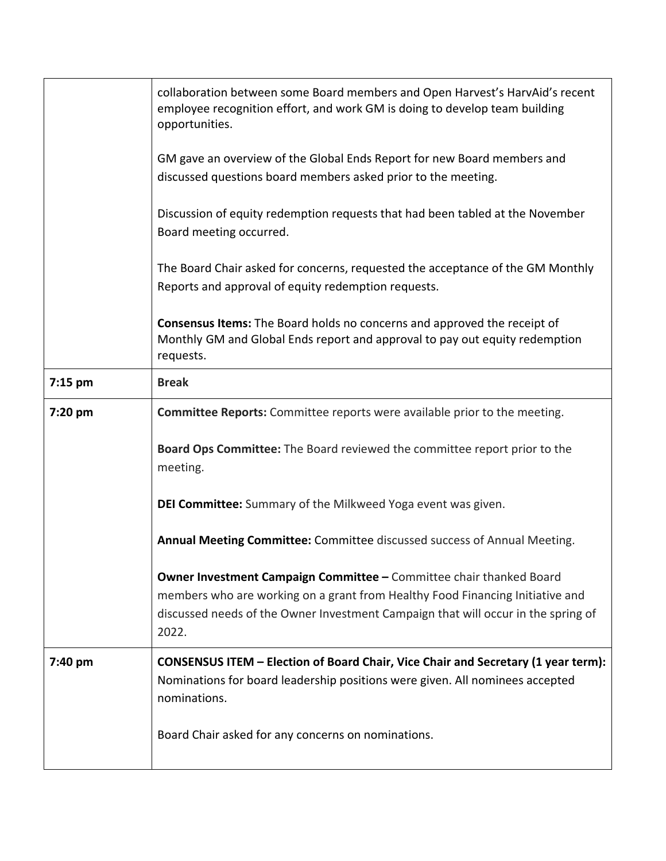|           | collaboration between some Board members and Open Harvest's HarvAid's recent<br>employee recognition effort, and work GM is doing to develop team building<br>opportunities.             |
|-----------|------------------------------------------------------------------------------------------------------------------------------------------------------------------------------------------|
|           | GM gave an overview of the Global Ends Report for new Board members and<br>discussed questions board members asked prior to the meeting.                                                 |
|           | Discussion of equity redemption requests that had been tabled at the November<br>Board meeting occurred.                                                                                 |
|           | The Board Chair asked for concerns, requested the acceptance of the GM Monthly<br>Reports and approval of equity redemption requests.                                                    |
|           | <b>Consensus Items:</b> The Board holds no concerns and approved the receipt of<br>Monthly GM and Global Ends report and approval to pay out equity redemption<br>requests.              |
| $7:15$ pm | <b>Break</b>                                                                                                                                                                             |
| 7:20 pm   | <b>Committee Reports:</b> Committee reports were available prior to the meeting.                                                                                                         |
|           | Board Ops Committee: The Board reviewed the committee report prior to the<br>meeting.                                                                                                    |
|           | DEI Committee: Summary of the Milkweed Yoga event was given.                                                                                                                             |
|           | Annual Meeting Committee: Committee discussed success of Annual Meeting.                                                                                                                 |
|           | Owner Investment Campaign Committee - Committee chair thanked Board                                                                                                                      |
|           | members who are working on a grant from Healthy Food Financing Initiative and<br>discussed needs of the Owner Investment Campaign that will occur in the spring of                       |
|           | 2022.                                                                                                                                                                                    |
| 7:40 pm   | <b>CONSENSUS ITEM - Election of Board Chair, Vice Chair and Secretary (1 year term):</b><br>Nominations for board leadership positions were given. All nominees accepted<br>nominations. |
|           | Board Chair asked for any concerns on nominations.                                                                                                                                       |